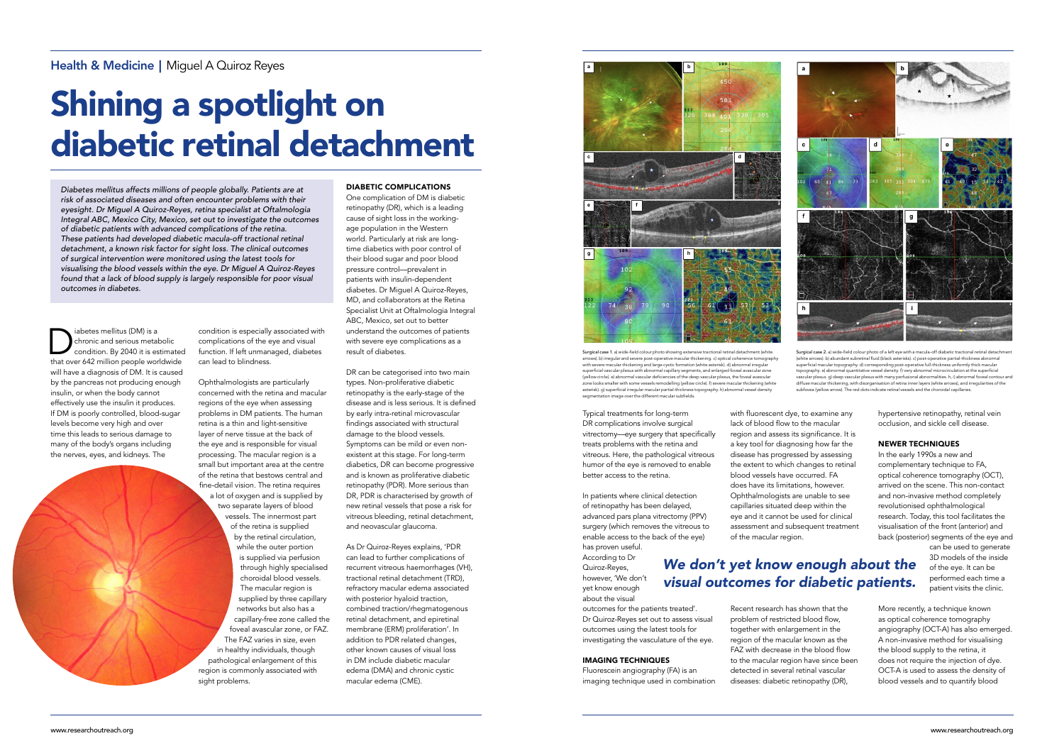abetes mellitus (DM) is a<br>
chronic and serious metabolic<br>
that over 642 million people worldwide chronic and serious metabolic condition. By 2040 it is estimated will have a diagnosis of DM. It is caused by the pancreas not producing enough insulin, or when the body cannot effectively use the insulin it produces. If DM is poorly controlled, blood-sugar levels become very high and over time this leads to serious damage to many of the body's organs including the nerves, eyes, and kidneys. The

#### DIABETIC COMPLICATIONS

One complication of DM is diabetic retinopathy (DR), which is a leading cause of sight loss in the workingage population in the Western world. Particularly at risk are longtime diabetics with poor control of their blood sugar and poor blood pressure control––prevalent in patients with insulin-dependent diabetes. Dr Miguel A Quiroz-Reyes, MD, and collaborators at the Retina Specialist Unit at Oftalmologia Integral ABC, Mexico, set out to better understand the outcomes of patients with severe eye complications as a result of diabetes.

DR can be categorised into two main types. Non-proliferative diabetic retinopathy is the early-stage of the disease and is less serious. It is defined by early intra-retinal microvascular findings associated with structural damage to the blood vessels. Symptoms can be mild or even nonexistent at this stage. For long-term diabetics, DR can become progressive and is known as proliferative diabetic retinopathy (PDR). More serious than DR, PDR is characterised by growth of new retinal vessels that pose a risk for vitreous bleeding, retinal detachment, and neovascular glaucoma.

with fluorescent dye, to examine any lack of blood flow to the macular region and assess its significance. It is a key tool for diagnosing how far the disease has progressed by assessing the extent to which changes to retinal blood vessels have occurred. FA does have its limitations, however. Ophthalmologists are unable to see capillaries situated deep within the eye and it cannot be used for clinical assessment and subsequent treatment

As Dr Quiroz-Reyes explains, 'PDR can lead to further complications of recurrent vitreous haemorrhages (VH), tractional retinal detachment (TRD), refractory macular edema associated with posterior hyaloid traction, combined traction/rhegmatogenous retinal detachment, and epiretinal membrane (ERM) proliferation'. In addition to PDR related changes, other known causes of visual loss in DM include diabetic macular edema (DMA) and chronic cystic macular edema (CME).

# Shining a spotlight on diabetic retinal detachment

*Diabetes mellitus affects millions of people globally. Patients are at risk of associated diseases and often encounter problems with their eyesight. Dr Miguel A Quiroz-Reyes, retina specialist at Oftalmologia Integral ABC, Mexico City, Mexico, set out to investigate the outcomes of diabetic patients with advanced complications of the retina. These patients had developed diabetic macula-off tractional retinal detachment, a known risk factor for sight loss. The clinical outcomes of surgical intervention were monitored using the latest tools for visualising the blood vessels within the eye. Dr Miguel A Quiroz-Reyes found that a lack of blood supply is largely responsible for poor visual outcomes in diabetes.* 

> Typical treatments for long-term DR complications involve surgical vitrectomy––eye surgery that specifically treats problems with the retina and vitreous. Here, the pathological vitreous humor of the eye is removed to enable better access to the retina.

In patients where clinical detection of retinopathy has been delayed, advanced pars plana vitrectomy (PPV) surgery (which removes the vitreous to enable access to the back of the eye) has proven useful.

According to Dr Quiroz-Reyes, however, 'We don't yet know enough about the visual

outcomes for the patients treated'. Dr Quiroz-Reyes set out to assess visual outcomes using the latest tools for investigating the vasculature of the eye.

#### IMAGING TECHNIQUES

Surgical case 1. a) wide-field colour photo showing extensive tractional retinal detachment (white arrows). b) irregular and severe post-operative macular thickening. c) optical coherence tomography<br>with severe macular thickening and large cystic formation (white asterisk). d) abnormal irregular superficial vascular plexus with abnormal capillary segments, and enlarged foveal avascular zone (yellow circle). e) abnormal vascular deficiencies of the deep vascular plexus, the foveal avascular zone looks smaller with some vessels remodelling (yellow circle). f) severe macular thickening (white asterisk). g) superficial irregular macular partial-thickness topography. h) abnormal vessel density sension imaginar investigit per car and macular

Fluorescein angiography (FA) is an imaging technique used in combination of the macular region.

Recent research has shown that the problem of restricted blood flow, together with enlargement in the region of the macular known as the FAZ with decrease in the blood flow to the macular region have since been detected in several retinal vascular diseases: diabetic retinopathy (DR),

hypertensive retinopathy, retinal vein occlusion, and sickle cell disease.

#### NEWER TECHNIQUES

In the early 1990s a new and complementary technique to FA, optical coherence tomography (OCT), arrived on the scene. This non-contact and non-invasive method completely revolutionised ophthalmological research. Today, this tool facilitates the visualisation of the front (anterior) and back (posterior) segments of the eye and

can be used to generate 3D models of the inside of the eye. It can be performed each time a patient visits the clinic.

More recently, a technique known as optical coherence tomography angiography (OCT-A) has also emerged. A non-invasive method for visualising the blood supply to the retina, it does not require the injection of dye. OCT-A is used to assess the density of blood vessels and to quantify blood

## *We don't yet know enough about the visual outcomes for diabetic patients.*



condition is especially associated with complications of the eye and visual function. If left unmanaged, diabetes can lead to blindness.

Ophthalmologists are particularly concerned with the retina and macular regions of the eye when assessing problems in DM patients. The human retina is a thin and light-sensitive layer of nerve tissue at the back of the eye and is responsible for visual processing. The macular region is a small but important area at the centre of the retina that bestows central and fine-detail vision. The retina requires a lot of oxygen and is supplied by two separate layers of blood vessels. The innermost part of the retina is supplied by the retinal circulation, while the outer portion is supplied via perfusion through highly specialised choroidal blood vessels. The macular region is supplied by three capillary networks but also has a capillary-free zone called the foveal avascular zone, or FAZ. The FAZ varies in size, even in healthy individuals, though pathological enlargement of this region is commonly associated with sight problems.



Surgical case 2. a) wide-field colour photo of a left eye with a macula-off diabetic tractional retinal detachn (white arrows). b) abundant subretinal fluid (black asterisks). c) post-operative partial-thickness abnormal superficial macular topography. d) corresponding post-operative full-thickness uniformly thick macular topography. e) abnormal quantitative vessel density. f) very abnormal microcirculation at the superficial vascular plexus. g) deep vascular plexus with many perfusional abnormalities. h, i) abnormal foveal contour and diffuse macular thickening, with disorganisation of retina inner layers (white arrows), and irregularities of the<br>subfovea (yellow arrow). The red dots indicate retinal vessels and the choroidal capillaries.